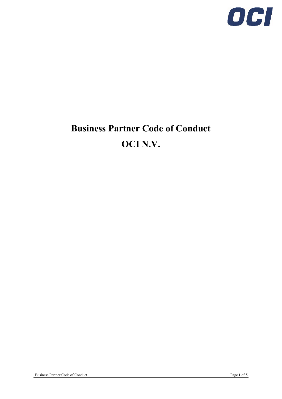

# **Business Partner Code of Conduct OCI N.V.**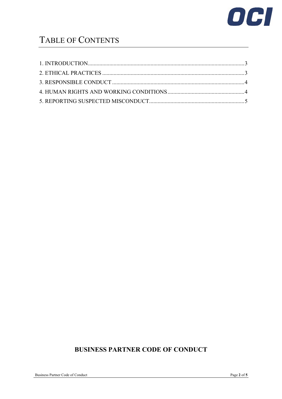

# TABLE OF CONTENTS

# **BUSINESS PARTNER CODE OF CONDUCT**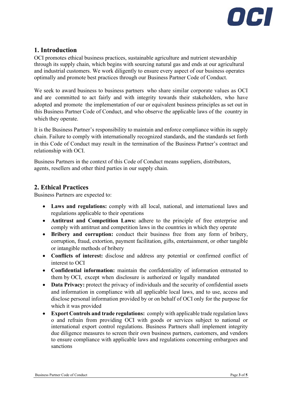

## <span id="page-2-0"></span>**1. Introduction**

OCI promotes ethical business practices, sustainable agriculture and nutrient stewardship through its supply chain, which begins with sourcing natural gas and ends at our agricultural and industrial customers. We work diligently to ensure every aspect of our business operates optimally and promote best practices through our Business Partner Code of Conduct.

We seek to award business to business partners who share similar corporate values as OCI and are committed to act fairly and with integrity towards their stakeholders, who have adopted and promote the implementation of our or equivalent business principles as set out in this Business Partner Code of Conduct, and who observe the applicable laws of the country in which they operate.

It is the Business Partner's responsibility to maintain and enforce compliance within its supply chain. Failure to comply with internationally recognized standards, and the standards set forth in this Code of Conduct may result in the termination of the Business Partner's contract and relationship with OCI.

Business Partners in the context of this Code of Conduct means suppliers, distributors, agents, resellers and other third parties in our supply chain.

#### <span id="page-2-1"></span>**2. Ethical Practices**

Business Partners are expected to:

- **Laws and regulations:** comply with all local, national, and international laws and regulations applicable to their operations
- **Antitrust and Competition Laws:** adhere to the principle of free enterprise and comply with antitrust and competition laws in the countries in which they operate
- **Bribery and corruption:** conduct their business free from any form of bribery, corruption, fraud, extortion, payment facilitation, gifts, entertainment, or other tangible or intangible methods of bribery
- **Conflicts of interest:** disclose and address any potential or confirmed conflict of interest to OCI
- **Confidential information:** maintain the confidentiality of information entrusted to them by OCI, except when disclosure is authorized or legally mandated
- **Data Privacy:** protect the privacy of individuals and the security of confidential assets and information in compliance with all applicable local laws, and to use, access and disclose personal information provided by or on behalf of OCI only for the purpose for which it was provided
- **Export Controls and trade regulations:** comply with applicable trade regulation laws o and refrain from providing OCI with goods or services subject to national or international export control regulations. Business Partners shall implement integrity due diligence measures to screen their own business partners, customers, and vendors to ensure compliance with applicable laws and regulations concerning embargoes and sanctions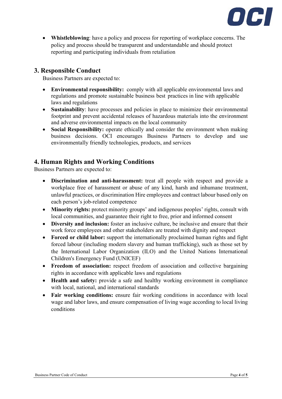

• **Whistleblowing**: have a policy and process for reporting of workplace concerns. The policy and process should be transparent and understandable and should protect reporting and participating individuals from retaliation

#### <span id="page-3-0"></span>**3. Responsible Conduct**

Business Partners are expected to:

- **Environmental responsibility:** comply with all applicable environmental laws and regulations and promote sustainable business best practices in line with applicable laws and regulations
- **Sustainability**: have processes and policies in place to minimize their environmental footprint and prevent accidental releases of hazardous materials into the environment and adverse environmental impacts on the local community
- **Social Responsibility:** operate ethically and consider the environment when making business decisions. OCI encourages Business Partners to develop and use environmentally friendly technologies, products, and services

#### <span id="page-3-1"></span>**4. Human Rights and Working Conditions**

Business Partners are expected to:

- **Discrimination and anti-harassment:** treat all people with respect and provide a workplace free of harassment or abuse of any kind, harsh and inhumane treatment, unlawful practices, or discrimination Hire employees and contract labour based only on each person's job-related competence
- **Minority rights:** protect minority groups' and indigenous peoples' rights, consult with local communities, and guarantee their right to free, prior and informed consent
- **Diversity and inclusion:** foster an inclusive culture, be inclusive and ensure that their work force employees and other stakeholders are treated with dignity and respect
- **Forced or child labor:** support the internationally proclaimed human rights and fight forced labour (including modern slavery and human trafficking), such as those set by the International Labor Organization (ILO) and the United Nations International Children's Emergency Fund (UNICEF)
- **Freedom of association:** respect freedom of association and collective bargaining rights in accordance with applicable laws and regulations
- **Health and safety:** provide a safe and healthy working environment in compliance with local, national, and international standards
- **Fair working conditions:** ensure fair working conditions in accordance with local wage and labor laws, and ensure compensation of living wage according to local living conditions